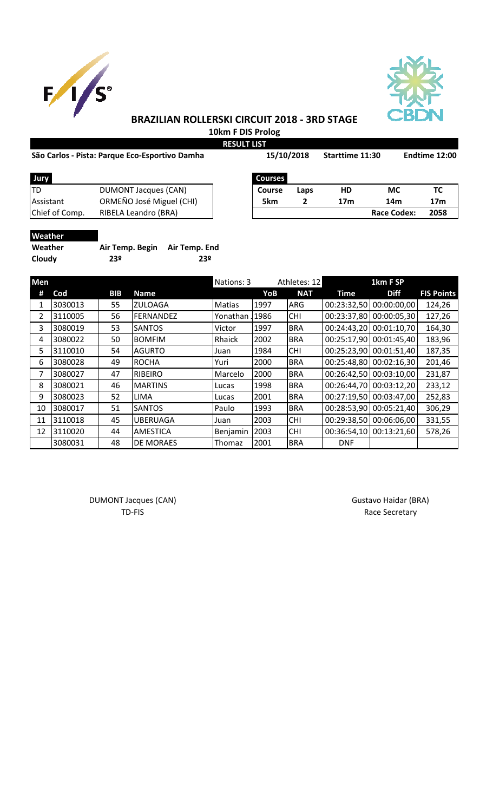



## **BRAZILIAN ROLLERSKI CIRCUIT 2018 - 3RD STAGE 10km F DIS Prolog**

**RESULT LIST**

| São Carlos - Pista: Parque Eco-Esportivo Damha | 15/10/2018     | <b>Starttime 11:30</b> | Endtime 12:00 |
|------------------------------------------------|----------------|------------------------|---------------|
| <b>Lury</b>                                    | <b>COULCAS</b> |                        |               |

| Jury           |                          | <b>Courses</b> |      |     |                    |      |
|----------------|--------------------------|----------------|------|-----|--------------------|------|
| ltd            | DUMONT Jacques (CAN)     | <b>Course</b>  | Laps | HD  | МC                 |      |
| Assistant      | ORMEÑO José Miguel (CHI) | 5km            |      | 17m | 14m                | 17m  |
| Chief of Comp. | RIBELA Leandro (BRA)     |                |      |     | <b>Race Codex:</b> | 2058 |

| Jury           |                             | <b>Courses</b> |      |     |                    |      |
|----------------|-----------------------------|----------------|------|-----|--------------------|------|
|                | <b>DUMONT Jacques (CAN)</b> | Course         | Laps | HD  | МC                 |      |
| Assistant      | ORMEÑO José Miguel (CHI)    | 5km            |      | 17m | 14m                | 17m  |
| Chief of Comp. | RIBELA Leandro (BRA)        |                |      |     | <b>Race Codex:</b> | 2058 |

# **Weather**

| Weather | Air Temp. Begin | Air Temp. End |
|---------|-----------------|---------------|
| Cloudy  | 23º             | 23º           |

| <b>Men</b> |         |            |                  | Nations: 3    |       | Athletes: 12 |             | 1km F SP                |                   |
|------------|---------|------------|------------------|---------------|-------|--------------|-------------|-------------------------|-------------------|
| #          | Cod     | <b>BIB</b> | <b>Name</b>      |               | YoB   | <b>NAT</b>   | Time        | <b>Diff</b>             | <b>FIS Points</b> |
| 1          | 3030013 | 55         | <b>ZULOAGA</b>   | <b>Matias</b> | 1997  | <b>ARG</b>   | 00:23:32,50 | 00:00:00,00             | 124,26            |
| 2          | 3110005 | 56         | FERNANDEZ        | Yonathan      | 1986] | <b>CHI</b>   | 00:23:37,80 | 00:00:05,30             | 127,26            |
| 3          | 3080019 | 53         | <b>SANTOS</b>    | Victor        | 1997  | <b>BRA</b>   | 00:24:43,20 | 00:01:10,70             | 164,30            |
| 4          | 3080022 | 50         | <b>BOMFIM</b>    | Rhaick        | 2002  | <b>BRA</b>   |             | 00:25:17,90 00:01:45,40 | 183,96            |
| 5.         | 3110010 | 54         | <b>AGURTO</b>    | Juan          | 1984  | <b>CHI</b>   |             | 00:25:23,90 00:01:51,40 | 187,35            |
| 6          | 3080028 | 49         | <b>ROCHA</b>     | Yuri          | 2000  | <b>BRA</b>   |             | 00:25:48,80 00:02:16,30 | 201,46            |
| 7          | 3080027 | 47         | <b>RIBEIRO</b>   | Marcelo       | 2000  | <b>BRA</b>   | 00:26:42,50 | 00:03:10,00             | 231,87            |
| 8          | 3080021 | 46         | <b>MARTINS</b>   | Lucas         | 1998  | <b>BRA</b>   |             | 00:26:44,70 00:03:12,20 | 233,12            |
| 9          | 3080023 | 52         | LIMA             | Lucas         | 2001  | <b>BRA</b>   | 00:27:19,50 | 00:03:47,00             | 252,83            |
| 10         | 3080017 | 51         | <b>SANTOS</b>    | Paulo         | 1993  | <b>BRA</b>   | 00:28:53,90 | 00:05:21,40             | 306,29            |
| 11         | 3110018 | 45         | <b>UBERUAGA</b>  | Juan          | 2003  | <b>CHI</b>   | 00:29:38,50 | 00:06:06,00             | 331,55            |
| 12         | 3110020 | 44         | <b>AMESTICA</b>  | Benjamin      | 2003  | <b>CHI</b>   | 00:36:54,10 | 00:13:21,60             | 578,26            |
|            | 3080031 | 48         | <b>DE MORAES</b> | Thomaz        | 2001  | <b>BRA</b>   | <b>DNF</b>  |                         |                   |

DUMONT Jacques (CAN) and the control of the control of Gustavo Haidar (BRA) and DUMONT Jacques (CAN)

TD-FIS Race Secretary